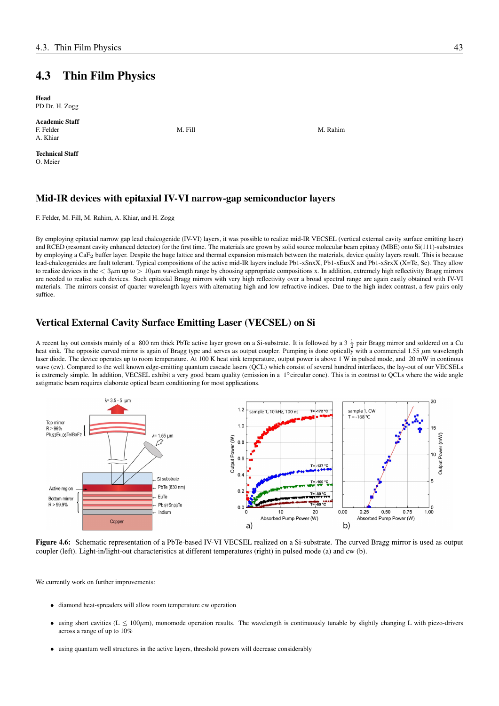## 4.3 Thin Film Physics

Head PD Dr. H. Zogg

Academic Staff F. Felder M. Rahim M. Rahim M. Rahim M. Rahim M. Rahim M. Rahim M. Rahim M. Rahim M. Rahim M. Rahim M. Rahim M A. Khiar

Technical Staff O. Meier

## Mid-IR devices with epitaxial IV-VI narrow-gap semiconductor layers

F. Felder, M. Fill, M. Rahim, A. Khiar, and H. Zogg

By employing epitaxial narrow gap lead chalcogenide (IV-VI) layers, it was possible to realize mid-IR VECSEL (vertical external cavity surface emitting laser) and RCED (resonant cavity enhanced detector) for the first time. The materials are grown by solid source molecular beam epitaxy (MBE) onto Si(111)-substrates by employing a CaF2 buffer layer. Despite the huge lattice and thermal expansion mismatch between the materials, device quality layers result. This is because lead-chalcogenides are fault tolerant. Typical compositions of the active mid-IR layers include Pb1-xSnxX, Pb1-xEuxX and Pb1-xSrxX (X=Te, Se). They allow to realize devices in the  $\langle 3\mu m \text{ up to } \rangle$  10 $\mu$ m wavelength range by choosing appropriate compositions x. In addition, extremely high reflectivity Bragg mirrors are needed to realise such devices. Such epitaxial Bragg mirrors with very high reflectivity over a broad spectral range are again easily obtained with IV-VI materials. The mirrors consist of quarter wavelength layers with alternating high and low refractive indices. Due to the high index contrast, a few pairs only suffice.

## Vertical External Cavity Surface Emitting Laser (VECSEL) on Si

A recent lay out consists mainly of a 800 nm thick PbTe active layer grown on a Si-substrate. It is followed by a 3  $\frac{1}{2}$  pair Bragg mirror and soldered on a Cu heat sink. The opposite curved mirror is again of Bragg type and serves as output coupler. Pumping is done optically with a commercial 1.55  $\mu$ m wavelength laser diode. The device operates up to room temperature. At 100 K heat sink temperature, output power is above 1 W in pulsed mode, and 20 mW in continous wave (cw). Compared to the well known edge-emitting quantum cascade lasers (QCL) which consist of several hundred interfaces, the lay-out of our VECSELs is extremely simple. In addition, VECSEL exhibit a very good beam quality (emission in a 1°circular cone). This is in contrast to QCLs where the wide angle astigmatic beam requires elaborate optical beam conditioning for most applications.



Figure 4.6: Schematic representation of a PbTe-based IV-VI VECSEL realized on a Si-substrate. The curved Bragg mirror is used as output coupler (left). Light-in/light-out characteristics at different temperatures (right) in pulsed mode (a) and cw (b).

We currently work on further improvements:

- diamond heat-spreaders will allow room temperature cw operation
- using short cavities ( $L \le 100 \mu m$ ), monomode operation results. The wavelength is continuously tunable by slightly changing L with piezo-drivers across a range of up to 10%
- using quantum well structures in the active layers, threshold powers will decrease considerably